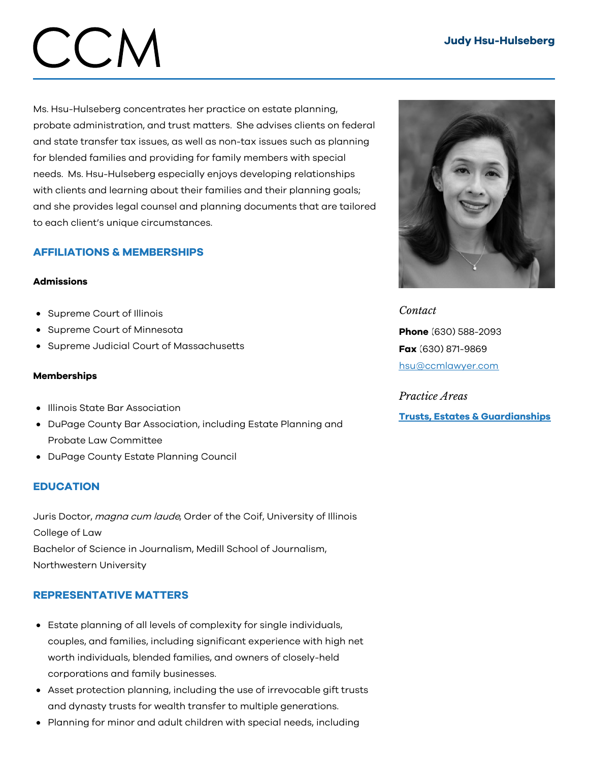## Judy Hsu-Hulseberg

# CCM

Ms. Hsu-Hulseberg concentrates her practice on estate planning, probate administration, and trust matters. She advises clients on federal and state transfer tax issues, as well as non-tax issues such as planning for blended families and providing for family members with special needs. Ms. Hsu-Hulseberg especially enjoys developing relationships with clients and learning about their families and their planning goals; and she provides legal counsel and planning documents that are tailored to each client's unique circumstances.

# AFFILIATIONS & MEMBERSHIPS

### Admissions

- Supreme Court of Illinois
- Supreme Court of Minnesota
- Supreme Judicial Court of Massachusetts

### Memberships

- **.** Illinois State Bar Association
- DuPage County Bar Association, including Estate Planning and Probate Law Committee
- DuPage County Estate Planning Council

# **EDUCATION**

Juris Doctor, magna cum laude, Order of the Coif, University of Illinois College of Law Bachelor of Science in Journalism, Medill School of Journalism, Northwestern University

# REPRESENTATIVE MATTERS

- Estate planning of all levels of complexity for single individuals, couples, and families, including significant experience with high net worth individuals, blended families, and owners of closely-held corporations and family businesses.
- Asset protection planning, including the use of irrevocable gift trusts and dynasty trusts for wealth transfer to multiple generations.
- Planning for minor and adult children with special needs, including



*Contact* Phone (630) 588-2093 Fax (630) 871-9869 [hsu@ccmlawyer.com](mailto:hsu@ccmlawyer.com)

*Practice Areas* Trusts, Estates & [Guardianships](https://www.ccmlawyer.com/practice-areas/trusts-estates-guardianships/)